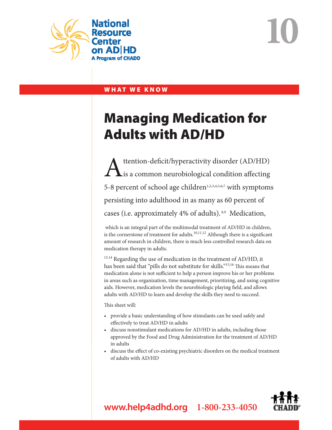

**10**

## WHAT WE KNOW

# Managing Medication for Adults with AD/HD

 $\sum_{i=1}^{\text{tention-deficit/hyperactivity disorder (AD/HD)}}$ is a common neurobiological condition affecting 5-8 percent of school age children<sup>1,2,3,4,5,6,7</sup> with symptoms persisting into adulthood in as many as 60 percent of cases (i.e. approximately 4% of adults). 8,9 Medication,

 which is an integral part of the multimodal treatment of AD/HD in children, is the cornerstone of treatment for adults.<sup>10,11,12</sup> Although there is a significant amount of research in children, there is much less controlled research data on medication therapy in adults.

 $13,14$  Regarding the use of medication in the treatment of AD/HD, it has been said that "pills do not substitute for skills."<sup>15,16</sup> This means that medication alone is not sufficient to help a person improve his or her problems in areas such as organization, time management, prioritizing, and using cognitive aids. However, medication levels the neurobiologic playing field, and allows adults with AD/HD to learn and develop the skills they need to succeed.

This sheet will:

- provide a basic understanding of how stimulants can be used safely and effectively to treat AD/HD in adults
- • discuss nonstimulant medications for AD/HD in adults, including those approved by the Food and Drug Administration for the treatment of AD/HD in adults
- • discuss the effect of co-existing psychiatric disorders on the medical treatment of adults with AD/HD



**www.help4adhd.org 1-800-233-4050**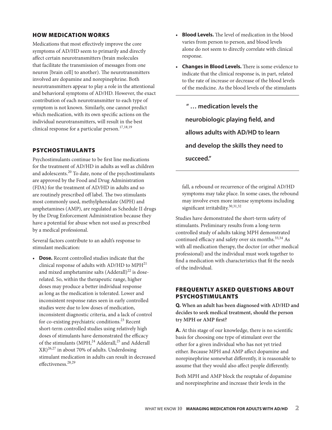#### How Medication Works

Medications that most effectively improve the core symptoms of AD/HD seem to primarily and directly affect certain neurotransmitters (brain molecules that facilitate the transmission of messages from one neuron [brain cell] to another). The neurotransmitters involved are dopamine and norepinephrine. Both neurotransmitters appear to play a role in the attentional and behavioral symptoms of AD/HD. However, the exact contribution of each neurotransmitter to each type of symptom is not known. Similarly, one cannot predict which medication, with its own specific actions on the individual neurotransmitters, will result in the best clinical response for a particular person.<sup>17,18,19</sup>

#### Psychostimulants

Psychostimulants continue to be first line medications for the treatment of AD/HD in adults as well as children and adolescents.20 To date, none of the psychostimulants are approved by the Food and Drug Administration (FDA) for the treatment of AD/HD in adults and so are routinely prescribed off label. The two stimulants most commonly used, methylphenidate (MPH) and amphetamines (AMP), are regulated as Schedule II drugs by the Drug Enforcement Administration because they have a potential for abuse when not used as prescribed by a medical professional.

Several factors contribute to an adult's response to stimulant medication:

**Dose.** Recent controlled studies indicate that the clinical response of adults with AD/HD to  $MPH<sup>21</sup>$ and mixed amphetamine salts  $(Adderall)^{22}$  is doserelated. So, within the therapeutic range, higher doses may produce a better individual response as long as the medication is tolerated. Lower and inconsistent response rates seen in early controlled studies were due to low doses of medication, inconsistent diagnostic criteria, and a lack of control for co-existing psychiatric conditions.23 Recent short-term controlled studies using relatively high doses of stimulants have demonstrated the efficacy of the stimulants (MPH, $^{24}$  Adderall, $^{25}$  and Adderall XR)26,<sup>27</sup> in about 70% of adults. Underdosing stimulant medication in adults can result in decreased effectiveness.28,<sup>29</sup>

- **Blood Levels.** The level of medication in the blood varies from person to person, and blood levels alone do not seem to directly correlate with clinical response.
- • **Changes in Blood Levels.** There is some evidence to indicate that the clinical response is, in part, related to the rate of increase or decrease of the blood levels of the medicine. As the blood levels of the stimulants

 **" … medication levels the neurobiologic playing field, and allows adults with AD/HD to learn and develop the skills they need to succeed."** 

fall, a rebound or recurrence of the original AD/HD symptoms may take place. In some cases, the rebound may involve even more intense symptoms including significant irritability.<sup>30,31,32</sup>

Studies have demonstrated the short-term safety of stimulants. Preliminary results from a long-term controlled study of adults taking MPH demonstrated continued efficacy and safety over six months.<sup>33,34</sup> As with all medication therapy, the doctor (or other medical professional) and the individual must work together to find a medication with characteristics that fit the needs of the individual.

#### Frequently Asked Questions About Psychostimulants

**Q. When an adult has been diagnosed with AD/HD and decides to seek medical treatment, should the person try MPH or AMP first?**

**A.** At this stage of our knowledge, there is no scientific basis for choosing one type of stimulant over the other for a given individual who has not yet tried either. Because MPH and AMP affect dopamine and norepinephrine somewhat differently, it is reasonable to assume that they would also affect people differently.

Both MPH and AMP block the reuptake of dopamine and norepinephrine and increase their levels in the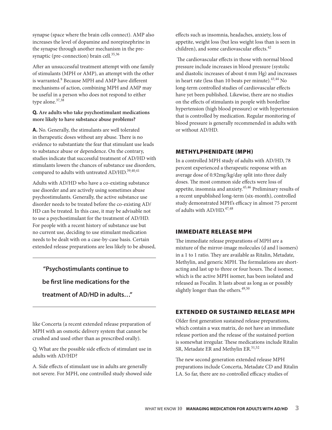synapse (space where the brain cells connect). AMP also increases the level of dopamine and norepinephrine in the synapse through another mechanism in the presynaptic (pre-connection) brain cell.<sup>35,36</sup>

After an unsuccessful treatment attempt with one family of stimulants (MPH or AMP), an attempt with the other is warranted.<sup>9</sup> Because MPH and AMP have different mechanisms of action, combining MPH and AMP may be useful in a person who does not respond to either type alone.<sup>37,38</sup>

#### **Q. Are adults who take psychostimulant medications more likely to have substance abuse problems?**

**A.** No. Generally, the stimulants are well tolerated in therapeutic doses without any abuse. There is no evidence to substantiate the fear that stimulant use leads to substance abuse or dependence. On the contrary, studies indicate that successful treatment of AD/HD with stimulants lowers the chances of substance use disorders, compared to adults with untreated AD/HD.  $^{39,40,41}$ 

Adults with AD/HD who have a co-existing substance use disorder and are actively using sometimes abuse psychostimulants. Generally, the active substance use disorder needs to be treated before the co-existing AD/ HD can be treated. In this case, it may be advisable not to use a psychostimulant for the treatment of AD/HD. For people with a recent history of substance use but no current use, deciding to use stimulant medication needs to be dealt with on a case-by-case basis. Certain extended release preparations are less likely to be abused,

#### **"Psychostimulants continue to**

#### **be first line medications for the**

**treatment of AD/HD in adults…"** 

like Concerta (a recent extended release preparation of MPH with an osmotic delivery system that cannot be crushed and used other than as prescribed orally).

Q. What are the possible side effects of stimulant use in adults with AD/HD?

A. Side effects of stimulant use in adults are generally not severe. For MPH, one controlled study showed side effects such as insomnia, headaches, anxiety, loss of appetite, weight loss (but less weight loss than is seen in children), and some cardiovascular effects. $42$ 

 The cardiovascular effects in those with normal blood pressure include increases in blood pressure (systolic and diastolic increases of about 4 mm Hg) and increases in heart rate (less than 10 beats per minute). $43,44$  No long-term controlled studies of cardiovascular effects have yet been published. Likewise, there are no studies on the effects of stimulants in people with borderline hypertension (high blood pressure) or with hypertension that is controlled by medication. Regular monitoring of blood pressure is generally recommended in adults with or without AD/HD.

#### Methylphenidate (MPH)

In a controlled MPH study of adults with AD/HD, 78 percent experienced a therapeutic response with an average dose of 0.92mg/kg/day split into three daily doses. The most common side effects were loss of appetite, insomnia and anxiety.45,<sup>46</sup> Preliminary results of a recent unpublished long-term (six-month), controlled study demonstrated MPH's efficacy in almost 75 percent of adults with  $AD/HD<sup>47,48</sup>$ 

#### Immediate Release MPH

The immediate release preparations of MPH are a mixture of the mirror-image molecules (d and l isomers) in a 1 to 1 ratio. They are available as Ritalin, Metadate, Methylin, and generic MPH. The formulations are shortacting and last up to three or four hours. The d isomer, which is the active MPH isomer, has been isolated and released as Focalin. It lasts about as long as or possibly slightly longer than the others. $49,50$ 

#### Extended or Sustained Release MPH

Older first generation sustained release preparations, which contain a wax matrix, do not have an immediate release portion and the release of the sustained portion is somewhat irregular. These medications include Ritalin SR, Metadate ER and Methylin ER.<sup>51,52</sup>

The new second generation extended release MPH preparations include Concerta, Metadate CD and Ritalin LA. So far, there are no controlled efficacy studies of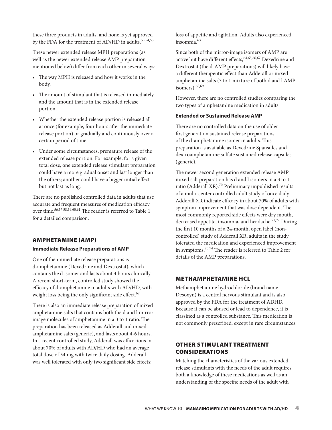these three products in adults, and none is yet approved by the FDA for the treatment of AD/HD in adults.<sup>53,54,55</sup>

These newer extended release MPH preparations (as well as the newer extended release AMP preparation mentioned below) differ from each other in several ways:

- • The way MPH is released and how it works in the body.
- The amount of stimulant that is released immediately and the amount that is in the extended release portion.
- • Whether the extended release portion is released all at once (for example, four hours after the immediate release portion) or gradually and continuously over a certain period of time.
- • Under some circumstances, premature release of the extended release portion. For example, for a given total dose, one extended release stimulant preparation could have a more gradual onset and last longer than the others; another could have a bigger initial effect but not last as long.

There are no published controlled data in adults that use accurate and frequent measures of medication efficacy over time.56,57,58,59,60,<sup>61</sup> The reader is referred to Table 1 for a detailed comparison.

#### Amphetamine (AMP)

#### **Immediate Release Preparations of AMP**

One of the immediate release preparations is d-amphetamine (Dexedrine and Dextrostat), which contains the d isomer and lasts about 4 hours clinically. A recent short-term, controlled study showed the efficacy of d-amphetamine in adults with AD/HD, with weight loss being the only significant side effect. $62$ 

There is also an immediate release preparation of mixed amphetamine salts that contains both the d and l mirrorimage molecules of amphetamine in a 3 to 1 ratio. The preparation has been released as Adderall and mixed amphetamine salts (generic), and lasts about 4-6 hours. In a recent controlled study, Adderall was efficacious in about 70% of adults with AD/HD who had an average total dose of 54 mg with twice daily dosing. Adderall was well tolerated with only two significant side effects:

loss of appetite and agitation. Adults also experienced insomnia.<sup>63</sup>

Since both of the mirror-image isomers of AMP are active but have different effects, 64,65,66,67 Dexedrine and Dextrostat (the d-AMP preparations) will likely have a different therapeutic effect than Adderall or mixed amphetamine salts (3 to 1 mixture of both d and l AMP isomers).68,<sup>69</sup>

However, there are no controlled studies comparing the two types of amphetamine medication in adults.

#### **Extended or Sustained Release AMP**

There are no controlled data on the use of older first generation sustained release preparations of the d-amphetamine isomer in adults. This preparation is available as Dexedrine Spansules and dextroamphetamine sulfate sustained release capsules (generic).

The newer second generation extended release AMP mixed salt preparation has d and l isomers in a 3 to 1 ratio (Adderall XR).<sup>70</sup> Preliminary unpublished results of a multi-center controlled adult study of once daily Adderall XR indicate efficacy in about 70% of adults with symptom improvement that was dose dependent. The most commonly reported side effects were dry mouth, decreased appetite, insomnia, and headache.<sup>71,72</sup> During the first 10 months of a 24-month, open label (noncontrolled) study of Adderall XR, adults in the study tolerated the medication and experienced improvement in symptoms.73,<sup>74</sup> The reader is referred to Table 2 for details of the AMP preparations.

#### Methamphetamine HCL

Methamphetamine hydrochloride (brand name Desoxyn) is a central nervous stimulant and is also approved by the FDA for the treatment of ADHD. Because it can be abused or lead to dependence, it is classified as a controlled substance. This medication is not commonly prescribed, except in rare circumstances.

#### Other Stimulant Treatment **CONSIDERATIONS**

Matching the characteristics of the various extended release stimulants with the needs of the adult requires both a knowledge of these medications as well as an understanding of the specific needs of the adult with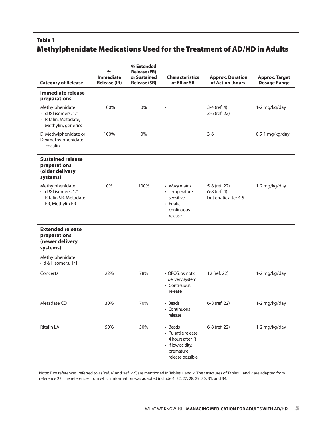# Table 1 Methylphenidate Medications Used for the Treatment of AD/HD in Adults

|                                                                                       | $\%$<br><b>Immediate</b> | % Extended<br><b>Release (ER)</b><br>or Sustained | <b>Characteristics</b>                                                                                   |                                                        |                                              |
|---------------------------------------------------------------------------------------|--------------------------|---------------------------------------------------|----------------------------------------------------------------------------------------------------------|--------------------------------------------------------|----------------------------------------------|
| <b>Category of Release</b>                                                            | <b>Release (IR)</b>      | <b>Release (SR)</b>                               | of ER or SR                                                                                              | <b>Approx. Duration</b><br>of Action (hours)           | <b>Approx. Target</b><br><b>Dosage Range</b> |
| <b>Immediate release</b><br>preparations                                              |                          |                                                   |                                                                                                          |                                                        |                                              |
| Methylphenidate<br>· d & l isomers, 1/1<br>· Ritalin, Metadate,<br>Methylin, generics | 100%                     | 0%                                                |                                                                                                          | 3-4 (ref. 4)<br>3-6 (ref. 22)                          | 1-2 mg/kg/day                                |
| D-Methylphenidate or<br>Dexmethylphenidate<br>• Focalin                               | 100%                     | 0%                                                |                                                                                                          | $3-6$                                                  | 0.5-1 mg/kg/day                              |
| <b>Sustained release</b><br>preparations<br>(older delivery<br>systems)               |                          |                                                   |                                                                                                          |                                                        |                                              |
| Methylphenidate<br>· d & l isomers, 1/1<br>· Ritalin SR, Metadate<br>ER, Methylin ER  | 0%                       | 100%                                              | • Waxy matrix<br>• Temperature<br>sensitive<br>• Erratic<br>continuous<br>release                        | 5-8 (ref. 22)<br>6-8 (ref. 4)<br>but erratic after 4-5 | 1-2 mg/kg/day                                |
| <b>Extended release</b><br>preparations<br>(newer delivery<br>systems)                |                          |                                                   |                                                                                                          |                                                        |                                              |
| Methylphenidate<br>· d & l isomers, 1/1                                               |                          |                                                   |                                                                                                          |                                                        |                                              |
| Concerta                                                                              | 22%                      | 78%                                               | • OROS: osmotic<br>delivery system<br>• Continuous<br>release                                            | 12 (ref. 22)                                           | 1-2 mg/kg/day                                |
| Metadate CD                                                                           | 30%                      | 70%                                               | • Beads<br>• Continuous<br>release                                                                       | 6-8 (ref. 22)                                          | 1-2 mg/kg/day                                |
| <b>Ritalin LA</b>                                                                     | 50%                      | 50%                                               | • Beads<br>• Pulsatile release<br>4 hours after IR<br>• If low acidity,<br>premature<br>release possible | 6-8 (ref. 22)                                          | 1-2 mg/kg/day                                |

Note: Two references, referred to as"ref. 4" and"ref. 22", are mentioned in Tables 1 and 2. The structures of Tables 1 and 2 are adapted from reference 22. The references from which information was adapted include 4, 22, 27, 28, 29, 30, 31, and 34.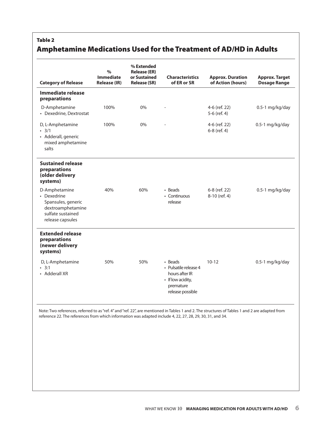### Table 2

# Amphetamine Medications Used for the Treatment of AD/HD in Adults

| <b>Category of Release</b>                                                                                       | $\%$<br><b>Immediate</b><br><b>Release (IR)</b> | % Extended<br><b>Release (ER)</b><br>or Sustained<br><b>Release (SR)</b> | <b>Characteristics</b><br>of ER or SR                                                                    | <b>Approx. Duration</b><br>of Action (hours) | <b>Approx. Target</b><br><b>Dosage Range</b> |
|------------------------------------------------------------------------------------------------------------------|-------------------------------------------------|--------------------------------------------------------------------------|----------------------------------------------------------------------------------------------------------|----------------------------------------------|----------------------------------------------|
| Immediate release<br>preparations                                                                                |                                                 |                                                                          |                                                                                                          |                                              |                                              |
| D-Amphetamine<br>• Dexedrine, Dextrostat                                                                         | 100%                                            | $0\%$                                                                    |                                                                                                          | 4-6 (ref. 22)<br>5-6 (ref. 4)                | 0.5-1 mg/kg/day                              |
| D, L-Amphetamine<br>.3/1<br>• Adderall, generic<br>mixed amphetamine<br>salts                                    | 100%                                            | $0\%$                                                                    |                                                                                                          | 4-6 (ref. 22)<br>6-8 (ref. 4)                | 0.5-1 mg/kg/day                              |
| <b>Sustained release</b><br>preparations<br>(older delivery<br>systems)                                          |                                                 |                                                                          |                                                                                                          |                                              |                                              |
| D-Amphetamine<br>• Dexedrine<br>Spansules, generic<br>dextroamphetamine<br>sulfate sustained<br>release capsules | 40%                                             | 60%                                                                      | • Beads<br>• Continuous<br>release                                                                       | 6-8 (ref. 22)<br>8-10 (ref. 4)               | 0.5-1 mg/kg/day                              |
| <b>Extended release</b><br>preparations<br>(newer delivery<br>systems)                                           |                                                 |                                                                          |                                                                                                          |                                              |                                              |
| D, L-Amphetamine<br>$\cdot$ 3:1<br>• Adderall XR                                                                 | 50%                                             | 50%                                                                      | • Beads<br>· Pulsatile release 4<br>hours after IR<br>• If low acidity,<br>premature<br>release possible | $10 - 12$                                    | 0.5-1 mg/kg/day                              |

Note: Two references, referred to as"ref. 4" and"ref. 22", are mentioned in Tables 1 and 2. The structures of Tables 1 and 2 are adapted from reference 22. The references from which information was adapted include 4, 22, 27, 28, 29, 30, 31, and 34.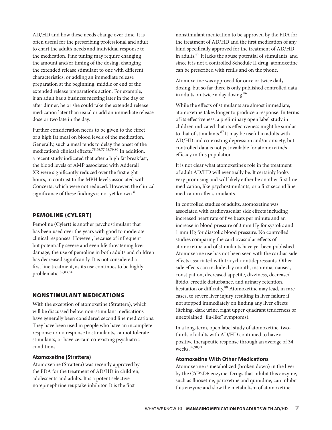AD/HD and how these needs change over time. It is often useful for the prescribing professional and adult to chart the adult's needs and individual response to the medication. Fine tuning may require changing the amount and/or timing of the dosing, changing the extended release stimulant to one with different characteristics, or adding an immediate release preparation at the beginning, middle or end of the extended release preparation's action. For example, if an adult has a business meeting later in the day or after dinner, he or she could take the extended release medication later than usual or add an immediate release dose or two late in the day.

Further consideration needs to be given to the effect of a high fat meal on blood levels of the medication. Generally, such a meal tends to delay the onset of the medication's clinical effects.75,76,77,78,79,<sup>80</sup> In addition, a recent study indicated that after a high fat breakfast, the blood levels of AMP associated with Adderall XR were significantly reduced over the first eight hours, in contrast to the MPH levels associated with Concerta, which were not reduced. However, the clinical significance of these findings is not yet known.<sup>81</sup>

#### Pemoline (Cylert)

Pemoline (Cylert) is another psychostimulant that has been used over the years with good to moderate clinical responses. However, because of infrequent but potentially severe and even life threatening liver damage, the use of pemoline in both adults and children has decreased significantly. It is not considered a first line treatment, as its use continues to be highly problematic.82,83,<sup>84</sup>

#### Nonstimulant Medications

With the exception of atomoxetine (Strattera), which will be discussed below, non-stimulant medications have generally been considered second line medications. They have been used in people who have an incomplete response or no response to stimulants, cannot tolerate stimulants, or have certain co-existing psychiatric conditions.

#### **Atomoxetine (Strattera)**

Atomoxetine (Strattera) was recently approved by the FDA for the treatment of AD/HD in children, adolescents and adults. It is a potent selective norepinephrine reuptake inhibitor. It is the first

nonstimulant medication to be approved by the FDA for the treatment of AD/HD and the first medication of any kind specifically approved for the treatment of AD/HD in adults.85 It lacks the abuse potential of stimulants, and since it is not a controlled Schedule II drug, atomoxetine can be prescribed with refills and on the phone.

Atomoxetine was approved for once or twice daily dosing, but so far there is only published controlled data in adults on twice a day dosing.<sup>86</sup>

While the effects of stimulants are almost immediate, atomoxetine takes longer to produce a response. In terms of its effectiveness, a preliminary open label study in children indicated that its effectiveness might be similar to that of stimulants. $87$  It may be useful in adults with AD/HD and co-existing depression and/or anxiety, but controlled data is not yet available for atomoxetine's efficacy in this population.

It is not clear what atomoxetine's role in the treatment of adult AD/HD will eventually be. It certainly looks very promising and will likely either be another first line medication, like psychostimulants, or a first second line medication after stimulants.

In controlled studies of adults, atomoxetine was associated with cardiovascular side effects including increased heart rate of five beats per minute and an increase in blood pressure of 3 mm Hg for systolic and 1 mm Hg for diastolic blood pressure. No controlled studies comparing the cardiovascular effects of atomoxetine and of stimulants have yet been published. Atomoxetine use has not been seen with the cardiac side effects associated with tricyclic antidepressants. Other side effects can include dry mouth, insomnia, nausea, constipation, decreased appetite, dizziness, decreased libido, erectile disturbance, and urinary retention, hesitation or difficulty.<sup>88</sup> Atomoxetine may lead, in rare cases, to severe liver injury resulting in liver failure if not stopped immediately on finding any liver effects (itching, dark urine, right upper quadrant tenderness or unexplained "flu-like" symptoms).

In a long-term, open label study of atomoxetine, twothirds of adults with AD/HD continued to have a positive therapeutic response through an average of 34 weeks. 89,90,91

#### **Atomoxetine With Other Medications**

Atomoxetine is metabolized (broken down) in the liver by the CYP2D6 enzyme. Drugs that inhibit this enzyme, such as fluoxetine, paroxetine and quinidine, can inhibit this enzyme and slow the metabolism of atomoxetine.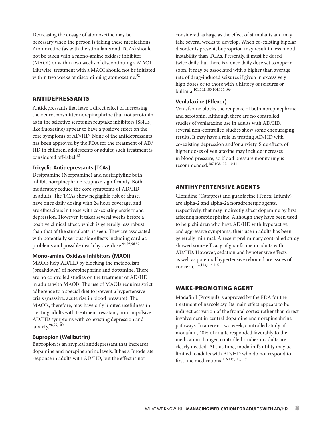Decreasing the dosage of atomoxetine may be necessary when the person is taking these medications. Atomoxetine (as with the stimulants and TCAs) should not be taken with a mono-amine oxidase inhibitor (MAOI) or within two weeks of discontinuing a MAOI. Likewise, treatment with a MAOI should not be initiated within two weeks of discontinuing atomoxetine.<sup>92</sup>

#### Antidepressants

Antidepressants that have a direct effect of increasing the neurotransmitter norepinephrine (but not serotonin as in the selective serotonin reuptake inhibitors [SSRIs] like fluoxetine) appear to have a positive effect on the core symptoms of AD/HD. None of the antidepressants has been approved by the FDA for the treatment of AD/ HD in children, adolescents or adults; such treatment is considered off-label.<sup>93</sup>

#### **Tricyclic Antidepressants (TCAs)**

Desipramine (Norpramine) and nortriptyline both inhibit norepinephrine reuptake significantly. Both moderately reduce the core symptoms of AD/HD in adults. The TCAs show negligible risk of abuse, have once daily dosing with 24 hour coverage, and are efficacious in those with co-existing anxiety and depression. However, it takes several weeks before a positive clinical effect, which is generally less robust than that of the stimulants, is seen. They are associated with potentially serious side effects including cardiac problems and possible death by overdose.<sup>94,95,96,97</sup>

#### **Mono-amine Oxidase Inhibitors (MAOI)**

MAOIs help AD/HD by blocking the metabolism (breakdown) of norepinephrine and dopamine. There are no controlled studies on the treatment of AD/HD in adults with MAOIs. The use of MAOIs requires strict adherence to a special diet to prevent a hypertensive crisis (massive, acute rise in blood pressure). The MAOIs, therefore, may have only limited usefulness in treating adults with treatment-resistant, non-impulsive AD/HD symptoms with co-existing depression and anxiety.98,99,<sup>100</sup>

#### **Bupropion (Wellbutrin)**

Bupropion is an atypical antidepressant that increases dopamine and norepinephrine levels. It has a "moderate" response in adults with AD/HD, but the effect is not

considered as large as the effect of stimulants and may take several weeks to develop. When co-existing bipolar disorder is present, buproprion may result in less mood instability than TCAs. Presently, it must be dosed twice daily, but there is a once daily dose set to appear soon. It may be associated with a higher than average rate of drug-induced seizures if given in excessively high doses or to those with a history of seizures or bulimia.101,102,103,104,105,<sup>106</sup>

#### **Venlafaxine (Effexor)**

Venlafaxine blocks the reuptake of both norepinephrine and serotonin. Although there are no controlled studies of venlafaxine use in adults with AD/HD, several non-controlled studies show some encouraging results. It may have a role in treating AD/HD with co-existing depression and/or anxiety. Side effects of higher doses of venlafaxine may include increases in blood pressure, so blood pressure monitoring is recommended.107,108,109,110,<sup>111</sup>

#### Antihypertensive Agents

Clonidine (Catapres) and guanfacine (Tenex, Intuniv) are alpha-2 and alpha-2a noradrenergic agents, respectively, that may indirectly affect dopamine by first affecting norepinephrine. Although they have been used to help children who have AD/HD with hyperactive and aggressive symptoms, their use in adults has been generally minimal. A recent preliminary controlled study showed some efficacy of guanfacine in adults with AD/HD. However, sedation and hypotensive effects as well as potential hypertensive rebound are issues of concern.112,113,114,<sup>115</sup>

#### Wake-promoting Agent

Modafinil (Provigil) is approved by the FDA for the treatment of narcolepsy. Its main effect appears to be indirect activation of the frontal cortex rather than direct involvement in central dopamine and norepinephrine pathways. In a recent two week, controlled study of modafinil, 48% of adults responded favorably to the medication. Longer, controlled studies in adults are clearly needed. At this time, modafinil's utility may be limited to adults with AD/HD who do not respond to first line medications.<sup>116,117,118,119</sup>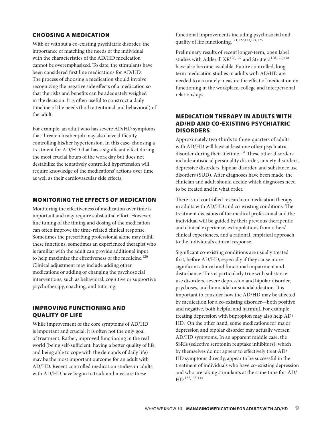#### Choosing a Medication

With or without a co-existing psychiatric disorder, the importance of matching the needs of the individual with the characteristics of the AD/HD medication cannot be overemphasized. To date, the stimulants have been considered first line medications for AD/HD. The process of choosing a medication should involve recognizing the negative side effects of a medication so that the risks and benefits can be adequately weighed in the decision. It is often useful to construct a daily timeline of the needs (both attentional and behavioral) of the adult.

For example, an adult who has severe AD/HD symptoms that threaten his/her job may also have difficulty controlling his/her hypertension. In this case, choosing a treatment for AD/HD that has a significant effect during the most crucial hours of the work day but does not destabilize the tentatively controlled hypertension will require knowledge of the medications' actions over time as well as their cardiovascular side effects.

#### Monitoring the Effects of Medication

Monitoring the effectiveness of medication over time is important and may require substantial effort. However, fine tuning of the timing and dosing of the medication can often improve the time-related clinical response. Sometimes the prescribing professional alone may fulfill these functions; sometimes an experienced therapist who is familiar with the adult can provide additional input to help maximize the effectiveness of the medicine.<sup>120</sup> Clinical adjustment may include adding other medications or adding or changing the psychosocial interventions, such as behavioral, cognitive or supportive psychotherapy, coaching, and tutoring.

#### Improving Functioning and Quality of Life

While improvement of the core symptoms of AD/HD is important and crucial, it is often not the only goal of treatment. Rather, improved functioning in the real world (being self-sufficient, having a better quality of life and being able to cope with the demands of daily life) may be the most important outcome for an adult with AD/HD. Recent controlled medication studies in adults with AD/HD have begun to track and measure these

functional improvements including psychosocial and quality of life functioning.121,122,123,124,<sup>125</sup>

Preliminary results of recent longer-term, open label studies with Adderall XR<sup>126,127</sup> and Strattera<sup>128,129,130</sup> have also become available. Future controlled, longterm medication studies in adults with AD/HD are needed to accurately measure the effect of medication on functioning in the workplace, college and interpersonal relationships.

#### Medication Therapy in Adults with AD/HD and Co-existing Psychiatric **DISORDERS**

Approximately two-thirds to three-quarters of adults with AD/HD will have at least one other psychiatric disorder during their lifetime.<sup>131</sup> These other disorders include antisocial personality disorder, anxiety disorders, depressive disorders, bipolar disorder, and substance use disorders (SUD). After diagnoses have been made, the clinician and adult should decide which diagnoses need to be treated and in what order.

There is no controlled research on medication therapy in adults with AD/HD and co-existing conditions. The treatment decisions of the medical professional and the individual will be guided by their previous therapeutic and clinical experience, extrapolations from others' clinical experiences, and a rational, empirical approach to the individual's clinical response.

Significant co-existing conditions are usually treated first, before AD/HD, especially if they cause more significant clinical and functional impairment and disturbance. This is particularly true with substance use disorders, severe depression and bipolar disorder, psychoses, and homicidal or suicidal ideation. It is important to consider how the AD/HD may be affected by medication for a co-existing disorder—both positive and negative, both helpful and harmful. For example, treating depression with bupropion may also help AD/ HD. On the other hand, some medications for major depression and bipolar disorder may actually worsen AD/HD symptoms. In an apparent middle case, the SSRIs (selective serotonin reuptake inhibitors), which by themselves do not appear to effectively treat AD/ HD symptoms directly, appear to be successful in the treatment of individuals who have co-existing depression and who are taking stimulants at the same time for AD/ HD.132,133,134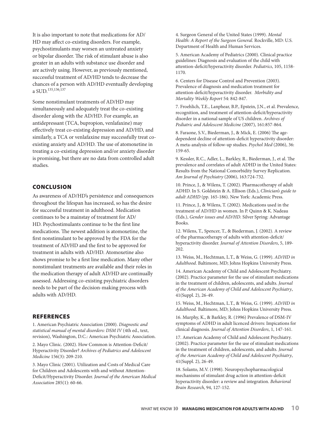It is also important to note that medications for AD/ HD may affect co-existing disorders. For example, psychostimulants may worsen an untreated anxiety or bipolar disorder. The risk of stimulant abuse is also greater in an adults with substance use disorder and are actively using. However, as previously mentioned, successful treatment of AD/HD tends to decrease the chances of a person with AD/HD eventually developing a SUD.135,136,<sup>137</sup>

Some nonstimulant treatments of AD/HD may simultaneously and adequately treat the co-existing disorder along with the AD/HD. For example, an antidepressant (TCA, bupropion, venlafaxine) may effectively treat co-existing depression and AD/HD, and similarly, a TCA or venlafaxine may successfully treat coexisting anxiety and AD/HD. The use of atomoxetine in treating a co-existing depression and/or anxiety disorder is promising, but there are no data from controlled adult studies.

#### **CONCLUSION**

As awareness of AD/HD's persistence and consequences throughout the lifespan has increased, so has the desire for successful treatment in adulthood. Medication continues to be a mainstay of treatment for AD/ HD. Psychostimulants continue to be the first line medications. The newest addition is atomoxetine, the first nonstimulant to be approved by the FDA for the treatment of AD/HD and the first to be approved for treatment in adults with AD/HD. Atomoxetine also shows promise to be a first line medication. Many other nonstimulant treatments are available and their roles in the medication therapy of adult AD/HD are continually assessed. Addressing co-existing psychiatric disorders needs to be part of the decision-making process with adults with AD/HD.

#### **REFERENCES**

1. American Psychiatric Association (2000). *Diagnostic and statistical manual of mental disorders: DSM IV* (4th ed., text, revision), Washington, D.C.: American Psychiatric Association.

2. Mayo Clinic. (2002). How Common is Attention-Deficit/ Hyperactivity Disorder? *Archives of Pediatrics and Adolescent Medicine* 156(3): 209-210.

3. Mayo Clinic (2001). Utilization and Costs of Medical Care for Children and Adolescents with and without Attention-Deficit/Hyperactivity Disorder. *Journal of the American Medical Association* 285(1): 60-66.

4. Surgeon General of the United States (1999). *Mental Health: A Report of the Surgeon General*. Rockville, MD: U.S. Department of Health and Human Services.

5. American Academy of Pediatrics (2000). Clinical practice guidelines: Diagnosis and evaluation of the child with attention-deficit/hyperactivity disorder. *Pediatrics*, 105, 1158- 1170.

6. Centers for Disease Control and Prevention (2003). Prevalence of diagnosis and medication treatment for attention-deficit/hyperactivity disorder. *Morbidity and Mortality Weekly Report* 54: 842-847.

7. Froehlich, T.E., Lanphear, B.P., Epstein, J.N., et al. Prevalence, recognition, and treatment of attention-deficit/hyperactivity disorder in a national sample of US children. *Archives of Pediatric and Adolescent Medicine* (2007), 161:857-864.

8. Faraone, S.V., Biederman, J., & Mick, E. (2006) The agedependent decline of attention-deficit hyperactivity disorder: A meta-analysis of follow-up studies. *Psychol Med* (2006), 36: 159-65.

9. Kessler, R.C., Adler, L., Barkley, R., Biederman, J., et al. The prevalence and correlates of adult ADHD in the United States: Results from the National Comorbidity Survey Replication. *Am Journal of Psychiatry* (2006), 163:724-732.

10. Prince, J., & Wilens, T. (2002). Pharmacotherapy of adult ADHD. In S. Goldstein & A. Ellison (Eds.), *Clinician's guide to adult ADHD* (pp. 165-186). New York: Academic Press.

11. Prince, J., & Wilens, T. (2002). Medications used in the treatment of AD/HD in women. In P. Quinn & K. Nadeau (Eds.), *Gender issues and AD/HD*. Silver Spring: Advantage Books.

12. Wilens, T., Spencer, T., & Biederman, J. (2002). A review of the pharmacotherapy of adults with attention-deficit/ hyperactivity disorder. *Journal of Attention Disorders*, 5, 189- 202.

13. Weiss, M., Hechtman, L.T., & Weiss, G. (1999). *AD/HD in Adulthood*. Baltimore, MD; Johns Hopkins University Press.

14. American Academy of Child and Adolescent Psychiatry. (2002). Practice parameter for the use of stimulant medications in the treatment of children, adolescents, and adults. *Journal of the American Academy of Child and Adolescent Psychiatry*, 41(Suppl. 2), 26-49.

15. Weiss, M., Hechtman, L.T., & Weiss, G. (1999). *AD/HD in Adulthood*. Baltimore, MD; Johns Hopkins University Press.

16. Murphy, K., & Barkley, R. (1996) Prevalence of DSM-IV symptoms of ADHD in adult licenced drivers: Impications for clinical diagnosis. *Journal of Attention Disorders*, 1, 147-161.

17. American Academy of Child and Adolescent Psychiatry. (2002). Practice parameter for the use of stimulant medications in the treatment of children, adolescents, and adults. *Journal of the American Academy of Child and Adolescent Psychiatry*, 41(Suppl. 2), 26-49.

18. Solanto, M.V. (1998). Neuropsychopharmacological mechanisms of stimulant drug action in attention-deficit hyperactivity disorder: a review and integration. *Behavioral Brain Research*, 94, 127-152.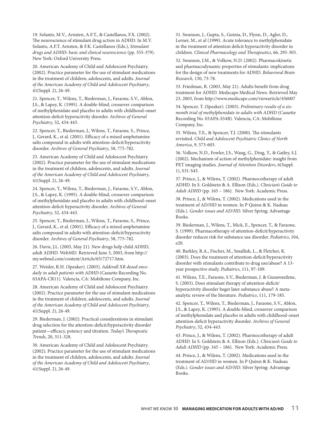19. Solanto, M.V., Arnsten, A.F.T., & Castellanos, F.X. (2002). The neuroscience of stimulant drug action in ADHD. In M.V. Solanto, A.F.T. Arnsten, & F.K. Castellanos (Eds.), *Stimulant drugs and ADHD: basic and clinical neuroscience* (pp. 355-379). New York: Oxford University Press.

20. American Academy of Child and Adolescent Psychiatry. (2002). Practice parameter for the use of stimulant medications in the treatment of children, adolescents, and adults. *Journal of the American Academy of Child and Adolescent Psychiatry*, 41(Suppl. 2), 26-49.

21. Spencer, T., Wilens, T., Biederman, J., Faraone, S.V., Ablon, J.S., & Lapey, K. (1995). A double-blind, crossover comparison of methylphenidate and placebo in adults with childhood-onset attention-deficit hyperactivity disorder. *Archives of General Psychiatry*, 52, 434-443.

22. Spencer, T., Biederman, J., Wilens, T., Faraone, S., Prince, J., Gerard, K., et al. (2001). Efficacy of a mixed amphetamine salts compound in adults with attention-deficit/hyperactivity disorder. *Archives of General Psychiatry*, 58, 775-782.

23. American Academy of Child and Adolescent Psychiatry. (2002). Practice parameter for the use of stimulant medications in the treatment of children, adolescents, and adults. *Journal of the American Academy of Child and Adolescent Psychiatry*, 41(Suppl. 2), 26-49.

24. Spencer, T., Wilens, T., Biederman, J., Faraone, S.V., Ablon, J.S., & Lapey, K. (1995). A double-blind, crossover comparison of methylphenidate and placebo in adults with childhood-onset attention-deficit hyperactivity disorder. *Archives of General Psychiatry*, 52, 434-443.

25. Spencer, T., Biederman, J., Wilens, T., Faraone, S., Prince, J., Gerard, K., et al. (2001). Efficacy of a mixed amphetamine salts compound in adults with attention-deficit/hyperactivity disorder. *Archives of General Psychiatry*, 58, 775-782.

26. Davis, J.L. (2003, May 21). New drugs help child ADHD, adult ADHD. WebMD. Retrieved June 3, 2003, from http:// my.webmd.com/content/Article/65/72717.htm.

27. Weisler, R.H. (Speaker). (2003). *Adderall XR dosed oncedaily in adult patients with ADHD* (Cassette Recording No. 03APA-CR11). Valencia, CA: Mobiltone Company, Inc.

28. American Academy of Child and Adolescent Psychiatry. (2002). Practice parameter for the use of stimulant medications in the treatment of children, adolescents, and adults. *Journal of the American Academy of Child and Adolescent Psychiatry*, 41(Suppl. 2), 26-49.

29. Biederman, J. (2002). Practical considerations in stimulant drug selection for the attention-deficit/hyperactivity disorder patient—efficacy, potency and titration. *Today's Therapeutic Trends*, 20, 311-328.

30. American Academy of Child and Adolescent Psychiatry. (2002). Practice parameter for the use of stimulant medications in the treatment of children, adolescents, and adults. *Journal of the American Academy of Child and Adolescent Psychiatry*, 41(Suppl. 2), 26-49.

31. Swanson, J., Gupta, S., Guinta, D., Flynn, D., Agler, D., Lerner, M., et al (1999). Acute tolerance to methylphenidate in the treatment of attention deficit hyperactivity disorder in children. *Clinical Pharmacology and Therapeutics*, 66, 295-305.

32. Swanson, J.M., & Volkow, N.D. (2002). Pharmacokinetic and pharmacodynamic properties of stimulants: implications for the design of new treatments for ADHD. *Behavioral Brain Research*, 130, 73-78.

33. Friedman, R. (2003, May 21). Adults benefit from drug treatment for ADHD. Medscape Medical News. Retrieved May 23, 2003, from http://www.medscape.com/viewarticle/456007

34. Spencer, T. (Speaker). (2003). *Preliminary results of a sixmonth trial of methylphenidate in adults with ADHD* (Cassette Recording No. 03APA-S54B). Valencia, CA: Mobiltone Company, Inc.

35. Wilens, T.E., & Spencer, T.J. (2000). The stimulants revisited. *Child and Adolescent Psychiatric Clinics of North America*, 9, 573-603.

36. Volkow, N.D., Fowler, J.S., Wang, G., Ding, Y., & Gatley, S.J. (2002). Mechanism of action of methylphenidate: insight from PET imaging studies. *Journal of Attention Disorders*, 6(Suppl. 1), S31-S43.

37. Prince, J., & Wilens, T. (2002). Pharmocotherapy of adult ADHD. In S. Goldstein & A. Ellison (Eds.). *Clinician's Guide to Adult ADHD* (pp. 165 – 186). New York: Academic Press.

38. Prince, J., & Wilens, T. (2002). Medications used in the treatment of AD/HD in women. In P Quinn & K. Nadeau (Eds.). *Gender issues and AD/HD*. Silver Spring: Advantage Books.

39. Biederman, J., Wilens, T., Mick, E., Spencer, T., & Faraone, S. (1999). Pharmacotherapy of attention-deficit/hyperactivity disorder reduces risk for substance use disorder. *Pediatrics*, 104, e20.

40. Barkley, R.A., Fischer, M., Smallish, L., & Fletcher, K. (2003). Does the treatment of attention-deficit/hyperactivity disorder with stimulants contribute to drug use/abuse? A 13 year prospective study. *Pediatrics*, 111, 97-109.

41. Wilens, T.E., Faraone, S.V., Biederman, J. & Gunawardene, S. (2003). Does stimulant therapy of attention-deficit/ hyperactivity disorder beget later substance abuse? A metaanalytic review of the literature. *Pediatrics*, 111, 179-185.

42. Spencer, T., Wilens, T., Biederman, J., Faraone, S.V., Ablon, J.S., & Lapey, K. (1995). A double-blind, crossover comparison of methylphenidate and placebo in adults with childhood-onset attention-deficit hyperactivity disorder. *Archives of General Psychiatry*, 52, 434-443.

43. Prince, J., & Wilens, T. (2002). Pharmocotherapy of adult ADHD. In S. Goldstein & A. Ellison (Eds.). *Clinician's Guide to Adult ADHD* (pp. 165 – 186). New York: Academic Press.

44. Prince, J., & Wilens, T. (2002). Medications used in the treatment of AD/HD in women. In P Quinn & K. Nadeau (Eds.). *Gender issues and AD/HD*. Silver Spring: Advantage Books.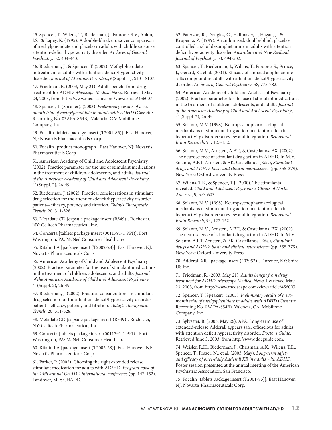45. Spencer, T., Wilens, T., Biederman, J., Faraone, S.V., Ablon, J.S., & Lapey, K. (1995). A double-blind, crossover comparison of methylphenidate and placebo in adults with childhood-onset attention-deficit hyperactivity disorder. *Archives of General Psychiatry*, 52, 434-443.

46. Biederman, J., & Spencer, T. (2002). Methylphenidate in treatment of adults with attention-deficit/hyperactivity disorder. *Journal of Attention Disorders*, 6(Suppl. 1), S101-S107.

47. Friedman, R. (2003, May 21). Adults benefit from drug treatment for ADHD. *Medscape Medical News*. Retrieved May 23, 2003, from http://www.medscape.com/viewarticle/456007

48. Spencer, T. (Speaker). (2003). *Preliminary results of a sixmonth trial of methylphenidate in adults with ADHD* (Cassette Recording No. 03APA-S54B). Valencia, CA: Mobiltone Company, Inc.

49. Focalin [tablets package insert (T2001-85)]. East Hanover, NJ: Novartis Pharmaceuticals Corp.

50. Focalin [product monograph]. East Hanover, NJ: Novartis Pharmaceuticals Corp.

51. American Academy of Child and Adolescent Psychiatry. (2002). Practice parameter for the use of stimulant medications in the treatment of children, adolescents, and adults. *Journal of the American Academy of Child and Adolescent Psychiatry*, 41(Suppl. 2), 26-49.

52. Biederman, J. (2002). Practical considerations in stimulant drug selection for the attention-deficit/hyperactivity disorder patient—efficacy, potency and titration. *Today's Therapeutic Trends*, 20, 311-328.

53. Metadate CD [capsule package insert (R549)]. Rochester, NY: Celltech Pharmaceutical, Inc.

54. Concerta [tablets package insert (0011791-1 PPI)]. Fort Washington, PA: McNeil Consumer Healthcare.

55. Ritalin LA [package insert (T2002-28)]. East Hanover, NJ: Novartis Pharmaceuticals Corp.

56. American Academy of Child and Adolescent Psychiatry. (2002). Practice parameter for the use of stimulant medications in the treatment of children, adolescents, and adults. *Journal of the American Academy of Child and Adolescent Psychiatry*, 41(Suppl. 2), 26-49.

57. Biederman, J. (2002). Practical considerations in stimulant drug selection for the attention-deficit/hyperactivity disorder patient—efficacy, potency and titration. *Today's Therapeutic Trends*, 20, 311-328.

58. Metadate CD [capsule package insert (R549)]. Rochester, NY: Celltech Pharmaceutical, Inc.

59. Concerta [tablets package insert (0011791-1 PPI)]. Fort Washington, PA: McNeil Consumer Healthcare.

60. Ritalin LA [package insert (T2002-28)]. East Hanover, NJ: Novartis Pharmaceuticals Corp.

61. Parker, P. (2002). Choosing the right extended release stimulant medication for adults with AD/HD. *Program book of the 14th annual CHADD international conference* (pp. 147-152). Landover, MD: CHADD.

62. Paterson, R., Douglas, C., Hallmayer, J., Hagan, J., & Krupenia, Z. (1999). A randomised, double-blind, placebocontrolled trial of dexamphetamine in adults with attention deficit hyperactivity disorder. *Australian and New Zealand Journal of Psychiatry*, 33, 494-502.

63. Spencer, T., Biederman, J., Wilens, T., Faraone, S., Prince, J., Gerard, K., et al. (2001). Efficacy of a mixed amphetamine salts compound in adults with attention-deficit/hyperactivity disorder. *Archives of General Psychiatry*, 58, 775-782.

64. American Academy of Child and Adolescent Psychiatry. (2002). Practice parameter for the use of stimulant medications in the treatment of children, adolescents, and adults. *Journal of the American Academy of Child and Adolescent Psychiatry*, 41(Suppl. 2), 26-49.

65. Solanto, M.V. (1998). Neuropsychopharmacological mechanisms of stimulant drug action in attention-deficit hyperactivity disorder: a review and integration. *Behavioral Brain Research*, 94, 127-152.

66. Solanto, M.V., Arnsten, A.F.T., & Castellanos, F.X. (2002). The neuroscience of stimulant drug action in ADHD. In M.V. Solanto, A.F.T. Arnsten, & F.K. Castellanos (Eds.), *Stimulant drugs and ADHD: basic and clinical neuroscience* (pp. 355-379). New York: Oxford University Press.

67. Wilens, T.E., & Spencer, T.J. (2000). The stimulants revisited. *Child and Adolescent Psychiatric Clinics of North America*, 9, 573-603.

68. Solanto, M.V. (1998). Neuropsychopharmacological mechanisms of stimulant drug action in attention-deficit hyperactivity disorder: a review and integration. *Behavioral Brain Research*, 94, 127-152.

69. Solanto, M.V., Arnsten, A.F.T., & Castellanos, F.X. (2002). The neuroscience of stimulant drug action in ADHD. In M.V. Solanto, A.F.T. Arnsten, & F.K. Castellanos (Eds.), *Stimulant drugs and ADHD: basic and clinical neuroscience* (pp. 355-379). New York: Oxford University Press.

70. Adderall XR [package insert (403952)]. Florence, KY: Shire US Inc.

71. Friedman, R. (2003, May 21). *Adults benefit from drug treatment for ADHD. Medscape Medical News*. Retrieved May 23, 2003, from http://www.medscape.com/viewarticle/456007

72. Spencer, T. (Speaker). (2003). *Preliminary results of a sixmonth trial of methylphenidate in adults with ADHD* (Cassette Recording No. 03APA-S54B). Valencia, CA: Mobiltone Company, Inc.

73. Sylvester, B. (2003, May 26). APA: Long-term use of extended-release Adderall appears safe, efficacious for adults with attention deficit hyperactivity disorder. *Doctor's Guide*. Retrieved June 3, 2003, from http://www.docguide.com.

74. Weisler, R.H., Biederman, J., Chrisman, A.K., Wilens, T.E., Spencer, T., Frazer, N., et al. (2003, May). *Long-term safety and efficacy of once-daily Adderall XR in adults with ADHD*. Poster session presented at the annual meeting of the American Psychiatric Association, San Francisco.

75. Focalin [tablets package insert (T2001-85)]. East Hanover, NJ: Novartis Pharmaceuticals Corp.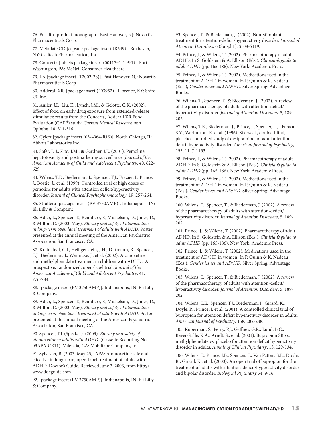76. Focalin [product monograph]. East Hanover, NJ: Novartis Pharmaceuticals Corp.

77. Metadate CD [capsule package insert (R549)]. Rochester, NY: Celltech Pharmaceutical, Inc.

78. Concerta [tablets package insert (0011791-1 PPI)]. Fort Washington, PA: McNeil Consumer Healthcare.

79. LA [package insert (T2002-28)]. East Hanover, NJ: Novartis Pharmaceuticals Corp.

80. Adderall XR [package insert (403952)]. Florence, KY: Shire US Inc.

81. Auiler, J.F., Liu, K., Lynch, J.M., & Gelotte, C.K. (2002). Effect of food on early drug exposure from extended-release stimulants: results from the Concerta, Adderall XR Food Evaluation (CAFÉ) study. *Current Medical Research and Opinion*, 18, 311-316.

82. Cylert [package insert (03-4964-R19)]. North Chicago, IL: Abbott Laboratories Inc.

83. Safer, D.J., Zito, J.M., & Gardner, J.E. (2001). Pemoline hepatotoxicity and postmarketing surveillance. *Journal of the American Academy of Child and Adolescent Psychiatry*, 40, 622- 629.

84. Wilens, T.E., Biederman, J., Spencer, T.J., Frazier, J., Prince, J., Bostic, J., et al. (1999). Controlled trial of high doses of pemoline for adults with attention deficit/hyperactivity disorder. *Journal of Clinical Psychopharmacology*, 19, 257-264.

85. Strattera [package insert (PV 3750AMP)]. Indianapolis, IN: Eli Lilly & Company.

86. Adler, L., Spencer, T., Reimherr, F., Michelson, D., Jones, D., & Milton, D. (2003, May). *Efficacy and safety of atomoxetine in long-term open label treatment of adults with ADHD*. Poster presented at the annual meeting of the American Psychiatric Association, San Francisco, CA.

87. Kratochvil, C.J., Heiligenstein, J.H., Dittmann, R., Spencer, T.J., Biederman, J., Wernicke, J., et al. (2002). Atomoxetine and methylphenidate treatment in children with ADHD: A prospective, randomized, open-label trial. *Journal of the American Academy of Child and Adolescent Psychiatry*, 41, 776-784.

88. [package insert (PV 3750AMP)]. Indianapolis, IN: Eli Lilly & Company.

89. Adler, L., Spencer, T., Reimherr, F., Michelson, D., Jones, D., & Milton, D. (2003, May). *Efficacy and safety of atomoxetine in long-term open label treatment of adults with ADHD*. Poster presented at the annual meeting of the American Psychiatric Association, San Francisco, CA.

90. Spencer, T.J. (Speaker). (2003). *Efficacy and safety of atomoxetine in adults with ADHD*. (Cassette Recording No. 03APA-CR11). Valencia, CA: Mobiltape Company, Inc.

91. Sylvester, B. (2003, May 23). APA: Atomoxetine safe and effective in long-term, open-label treatment of adults with ADHD. Doctor's Guide. Retrieved June 3, 2003, from http:// www.docguide.com

92. [package insert (PV 3750AMP)]. Indianapolis, IN: Eli Lilly & Company.

93. Spencer, T., & Biederman, J. (2002). Non-stimulant treatment for attention-deficit/hyperactivity disorder. *Journal of Attention Disorders*, 6 (Suppl.1), S108-S119.

94. Prince, J., & Wilens, T. (2002). Pharmacotherapy of adult ADHD. In S. Goldstein & A. Ellison (Eds.), *Clinician's guide to adult ADHD* (pp. 165-186). New York: Academic Press.

95. Prince, J., & Wilens, T. (2002). Medications used in the treatment of AD/HD in women. In P. Quinn & K. Nadeau (Eds.), *Gender issues and AD/HD*. Silver Spring: Advantage Books.

96. Wilens, T., Spencer, T., & Biederman, J. (2002). A review of the pharmacotherapy of adults with attention-deficit/ hyperactivity disorder. *Journal of Attention Disorders*, 5, 189- 202.

97. Wilens, T.E., Biederman, J., Prince, J., Spencer, T.J., Faraone, S.V., Warburton, R. et al. (1996). Six-week, double-blind, placebo-controlled study of desipramine for adult attention deficit hyperactivity disorder. *American Journal of Psychiatry*, 153, 1147-1153.

98. Prince, J., & Wilens, T. (2002). Pharmacotherapy of adult ADHD. In S. Goldstein & A. Ellison (Eds.), *Clinician's guide to adult ADHD* (pp. 165-186). New York: Academic Press.

99. Prince, J., & Wilens, T. (2002). Medications used in the treatment of AD/HD in women. In P. Quinn & K. Nadeau (Eds.), *Gender issues and AD/HD*. Silver Spring: Advantage Books.

100. Wilens, T., Spencer, T., & Biederman, J. (2002). A review of the pharmacotherapy of adults with attention-deficit/ hyperactivity disorder. *Journal of Attention Disorders*, 5, 189- 202.

101. Prince, J., & Wilens, T. (2002). Pharmacotherapy of adult ADHD. In S. Goldstein & A. Ellison (Eds.), *Clinician's guide to adult ADHD* (pp. 165-186). New York: Academic Press.

102. Prince, J., & Wilens, T. (2002). Medications used in the treatment of AD/HD in women. In P. Quinn & K. Nadeau (Eds.), *Gender issues and AD/HD*. Silver Spring: Advantage Books.

103. Wilens, T., Spencer, T., & Biederman, J. (2002). A review of the pharmacotherapy of adults with attention-deficit/ hyperactivity disorder. *Journal of Attention Disorders*, 5, 189- 202.

104. Wilens, T.E., Spencer, T.J., Biederman, J., Girard, K., Doyle, R., Prince, J. et al. (2001). A controlled clinical trial of bupropion for attention deficit hyperactivity disorder in adults. *American Journal of Psychiatry*, 158, 282-288.

105. Kuperman, S., Perry, P.J., Gaffney, G.R., Lund, B.C., Bever-Stille, K.A., Arndt, S., et al. (2001). Bupropion SR vs. methylphenidate vs. placebo for attention deficit hyperactivity disorder in adults. *Annals of Clinical Psychiatry*, 13, 129-134.

106. Wilens, T., Prince, J.B., Spencer, T., Van Patten, S.L., Doyle, R., Girard, K., et al. (2003). An open trial of bupropion for the treatment of adults with attention-deficit/hyperactivity disorder and bipolar disorder. *Biological Psychiatry* 54, 9-16.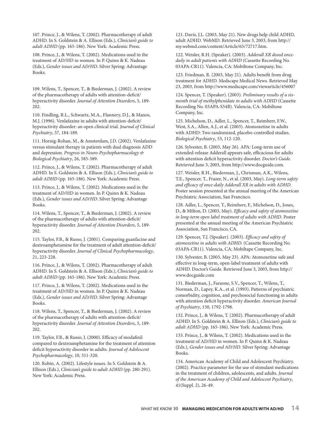107. Prince, J., & Wilens, T. (2002). Pharmacotherapy of adult ADHD. In S. Goldstein & A. Ellison (Eds.), *Clinician's guide to adult ADHD* (pp. 165-186). New York: Academic Press.

108. Prince, J., & Wilens, T. (2002). Medications used in the treatment of AD/HD in women. In P. Quinn & K. Nadeau (Eds.), *Gender issues and AD/HD*. Silver Spring: Advantage Books.

109. Wilens, T., Spencer, T., & Biederman, J. (2002). A review of the pharmacotherapy of adults with attention-deficit/ hyperactivity disorder. *Journal of Attention Disorders*, 5, 189- 202.

110. Findling, R.L., Schwartz, M.A., Flannery, D.J., & Manos, M.J. (1996). Venlafaxine in adults with attention-deficit/ hyperactivity disorder: an open clinical trial. *Journal of Clinical Psychiatry*, 57, 184-189.

111. Hornig-Rohan, M., & Amsterdam, J.D. (2002). Venlafaxine versus stimulant therapy in patients with dual diagnosis ADD and depression. *Progress in Neuro-Psychopharmacology & Biological Psychiatry*, 26, 585-589.

112. Prince, J., & Wilens, T. (2002). Pharmacotherapy of adult ADHD. In S. Goldstein & A. Ellison (Eds.), *Clinician's guide to adult ADHD* (pp. 165-186). New York: Academic Press.

113. Prince, J., & Wilens, T. (2002). Medications used in the treatment of AD/HD in women. In P. Quinn & K. Nadeau (Eds.), *Gender issues and AD/HD*. Silver Spring: Advantage Books.

114. Wilens, T., Spencer, T., & Biederman, J. (2002). A review of the pharmacotherapy of adults with attention-deficit/ hyperactivity disorder. *Journal of Attention Disorders*, 5, 189- 202.

115. Taylor, F.B., & Russo, J. (2001). Comparing guanfacine and dextroamphetamine for the treatment of adult attention-deficit/ hyperactivity disorder. *Journal of Clinical Psychopharmacology*, 21, 223-228.

116. Prince, J., & Wilens, T. (2002). Pharmacotherapy of adult ADHD. In S. Goldstein & A. Ellison (Eds.), *Clinician's guide to adult ADHD* (pp. 165-186). New York: Academic Press.

117. Prince, J., & Wilens, T. (2002). Medications used in the treatment of AD/HD in women. In P. Quinn & K. Nadeau (Eds.), *Gender issues and AD/HD*. Silver Spring: Advantage Books.

118. Wilens, T., Spencer, T., & Biederman, J. (2002). A review of the pharmacotherapy of adults with attention-deficit/ hyperactivity disorder. *Journal of Attention Disorders*, 5, 189- 202.

119. Taylor, F.B., & Russo, J. (2000). Efficacy of modafinil compared to dextroamphetamine for the treatment of attention deficit hyperactivity disorder in adults. *Journal of Adolescent Psychopharmacology*, 10, 311-320.

120. Robin, A. (2002). Lifestyle issues. In S. Goldstein & A. Ellison (Eds.), *Clinician's guide to adult ADHD* (pp. 280-291). New York: Academic Press.

121. Davis, J.L. (2003, May 21). New drugs help child ADHD, adult ADHD. WebMD. Retrieved June 3, 2003, from http:// my.webmd.com/content/Article/65/72717.htm.

122. Weisler, R.H. (Speaker). (2003). *Adderall XR dosed oncedaily in adult patients with ADHD* (Cassette Recording No. 03APA-CR11). Valencia, CA: Mobiltone Company, Inc.

123. Friedman, R. (2003, May 21). Adults benefit from drug treatment for ADHD. Medscape Medical News. Retrieved May 23, 2003, from http://www.medscape.com/viewarticle/456007

124. Spencer, T. (Speaker). (2003). *Preliminary results of a sixmonth trial of methylphenidate in adults with ADHD* (Cassette Recording No. 03APA-S54B). Valencia, CA: Mobiltone Company, Inc.

125. Michelson, D., Adler, L., Spencer, T., Reimherr, F.W., West, S.A., Allen, A.J., et al. (2003). Atomoxetine in adults with ADHD: Two randomized, placebo-controlled studies. *Biological Psychiatry*, 53, 112-120.

126. Sylvester, B. (2003, May 26). APA: Long-term use of extended-release Adderall appears safe, efficacious for adults with attention deficit hyperactivity disorder. *Doctor's Guide*. Retrieved June 3, 2003, from http://www.docguide.com.

127. Weisler, R.H., Biederman, J., Chrisman, A.K., Wilens, T.E., Spencer, T., Frazer, N., et al. (2003, May). *Long-term safety and efficacy of once-daily Adderall XR in adults with ADHD*. Poster session presented at the annual meeting of the American Psychiatric Association, San Francisco.

128. Adler, L., Spencer, T., Reimherr, F., Michelson, D., Jones, D., & Milton, D. (2003, May). *Efficacy and safety of atomoxetine in long-term open label treatment of adults with ADHD*. Poster presented at the annual meeting of the American Psychiatric Association, San Francisco, CA.

129. Spencer, T.J. (Speaker). (2003). *Efficacy and safety of atomoxetine in adults with ADHD*. (Cassette Recording No. 03APA-CR11). Valencia, CA: Mobiltape Company, Inc.

130. Sylvester, B. (2003, May 23). APA: Atomoxetine safe and effective in long-term, open-label treatment of adults with ADHD. Doctor's Guide. Retrieved June 3, 2003, from http:// www.docguide.com

131. Biederman, J., Faraone, S.V., Spencer, T., Wilens, T., Norman, D., Lapey, K.A., et al. (1993). Patterns of psychiatric comorbidity, cognition, and psychosocial functioning in adults with attention deficit hyperactivity disorder. *American Journal of Psychiatry*, 150, 1792-1798.

132. Prince, J., & Wilens, T. (2002). Pharmacotherapy of adult ADHD. In S. Goldstein & A. Ellison (Eds.), *Clinician's guide to adult ADHD* (pp. 165-186). New York: Academic Press.

133. Prince, J., & Wilens, T. (2002). Medications used in the treatment of AD/HD in women. In P. Quinn & K. Nadeau (Eds.), *Gender issues and AD/HD*. Silver Spring: Advantage Books.

134. American Academy of Child and Adolescent Psychiatry. (2002). Practice parameter for the use of stimulant medications in the treatment of children, adolescents, and adults. *Journal of the American Academy of Child and Adolescent Psychiatry*, 41(Suppl. 2), 26-49.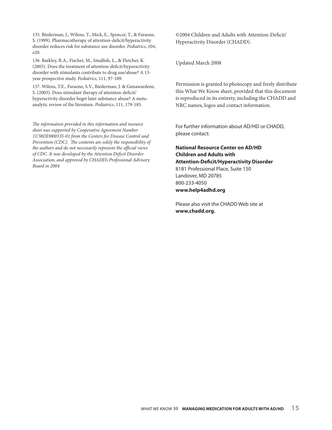135. Biederman, J., Wilens, T., Mick, E., Spencer, T., & Faraone, S. (1999). Pharmacotherapy of attention-deficit/hyperactivity disorder reduces risk for substance use disorder. *Pediatrics*, 104, e20.

136. Barkley, R.A., Fischer, M., Smallish, L., & Fletcher, K. (2003). Does the treatment of attention-deficit/hyperactivity disorder with stimulants contribute to drug use/abuse? A 13 year prospective study. *Pediatrics*, 111, 97-109.

137. Wilens, T.E., Faraone, S.V., Biederman, J. & Gunawardene, S. (2003). Does stimulant therapy of attention-deficit/ hyperactivity disorder beget later substance abuse? A metaanalytic review of the literature. *Pediatrics*, 111, 179-185.

*The information provided in this information and resource sheet was supported by Cooperative Agreement Number 1U38DD000335-01 from the Centers for Disease Control and Prevention (CDC). The contents are solely the responsibility of the authors and do not necessarily represent the official views of CDC. It was developed by the Attention Deficit Disorder Association, and approved by CHADD's Professional Advisory Board in 2004*

©2004 Children and Adults with Attention-Deficit/ Hyperactivity Disorder (CHADD).

Updated March 2008

Permission is granted to photocopy and freely distribute this What We Know sheet, provided that this document is reproduced in its entirety, including the CHADD and NRC names, logos and contact information.

For further information about AD/HD or CHADD, please contact:

#### **National Resource Center on AD/HD Children and Adults with Attention-Deficit/Hyperactivity Disorder** 8181 Professional Place, Suite 150 Landover, MD 20785 800-233-4050 **www.help4adhd.org**

Please also visit the CHADD Web site at **www.chadd.org.**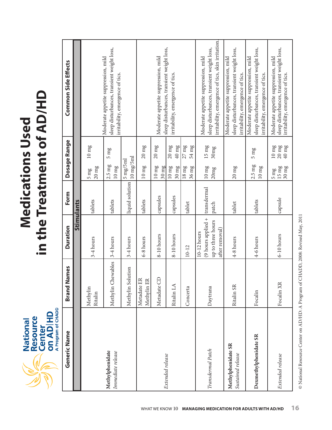**National**<br>Resource<br>Center<br>on AD HD<br>A<sup>program of CHADD</sup>

# **Medications Used in the Treatment of AD /HD**

| Generic Name                            | Names<br>Brand <sup>1</sup> | <b>Duration</b>                                                            | Form                        | Dosage Range                                                                                                                  | Common Side Effects                                                                                                                    |
|-----------------------------------------|-----------------------------|----------------------------------------------------------------------------|-----------------------------|-------------------------------------------------------------------------------------------------------------------------------|----------------------------------------------------------------------------------------------------------------------------------------|
|                                         |                             |                                                                            | <b>Stimulants</b>           |                                                                                                                               |                                                                                                                                        |
|                                         | Methylin<br>Ritalin         | 3-4 hours                                                                  | tablets                     | $10 \text{ mg}$<br>$ 20 \text{ mg}$<br>$5 \text{ mg}$                                                                         |                                                                                                                                        |
| Methylphenidate<br>Immediate release    | Methylin Chewables          | 3-4 hours                                                                  | tablets                     | $5 \text{ mg}$<br>$ 2.5 \text{ mg} $<br>$10 \text{ mg}$                                                                       | sleep disturbances, transient weight loss,<br>Moderate appetite suppression, mild<br>irritability, emergence of tics.                  |
|                                         | Methylin Solution           | 3-4 hours                                                                  | liquid solution             | $10 \text{ mg}/5 \text{ml}$<br>5 mg/5ml                                                                                       |                                                                                                                                        |
|                                         | Metadate ER<br>Methylin ER  | 6-8 hours                                                                  | tablets                     | $20 \text{ mg}$<br>$10 \text{ mg}$                                                                                            |                                                                                                                                        |
|                                         | Metadate CD                 | 8-10 hours                                                                 | capsules                    | $20\,\rm{mg}$<br>$10 \text{ mg}$<br>$30 \text{ mg}$                                                                           | sleep disturbances, transient weight loss,<br>Moderate appetite suppression, mild                                                      |
| Extended release                        | Ritalin LA                  | 8-10 hours                                                                 | capsules                    | $40 \text{ mg}$<br>$20 \text{ mg}$<br>$10\ \mathrm{mg}$<br>$30 \text{ mg}$                                                    | irritability, emergence of tics.                                                                                                       |
|                                         | Concerta                    | $10 - 12$                                                                  | tablet                      | $27\,\mathrm{mg}$<br>54 mg<br>$36 \text{ mg}$<br>$18 \text{ mg}$                                                              |                                                                                                                                        |
| Transdermal Patch                       | Daytrana                    | (9 hours applied +<br>up to three hours<br>after removal)<br>$10-12$ hours | transdermal<br><b>patch</b> | $15 \text{ mg}$<br>30mg<br>$\frac{10 \text{ mg}}{200 \text{ kg}}$<br>20mg                                                     | irritability, emergence of tics, skin irritation.<br>sleep disturbances, transient weight loss,<br>Moderate appetite suppression, mild |
| Methylphenidate SR<br>Sustained release | Ritalin SR                  | 4-8 hours                                                                  | tablet                      | $20 \text{ mg}$                                                                                                               | sleep disturbances, transient weight loss,<br>Moderate appetite suppression, mild<br>irritability, emergence of tics.                  |
| Dexmethylphenidate SR                   | Focalin                     | 4-6 hours                                                                  | tablets                     | $5 \text{ mg}$<br>$ 2.5 \text{ mg} $<br>$10 \ \mathrm{mg}$                                                                    | sleep disturbances, transient weight loss,<br>Moderate appetite suppression, mild<br>irritability, emergence of tics.                  |
| Extended release                        | Focalin XR                  | $6-10$ hours                                                               | capsule                     | $\begin{array}{c} 20 \text{ mg} \\ 40 \text{ mg} \end{array}$<br>$10\,\rm{mg}$<br>$30 \text{ mg}$<br> 15 mg<br>$\frac{3m}{2}$ | sleep disturbances, transient weight loss,<br>Moderate appetite suppression, mild<br>irritability, emergence of tics.                  |

@ National Resource Center on AD/HD: A Program of CHADD, 2008: Revised May, 2011 © National Resource Center on AD/HD: A Program of CHADD, 2008: Revised May, 2011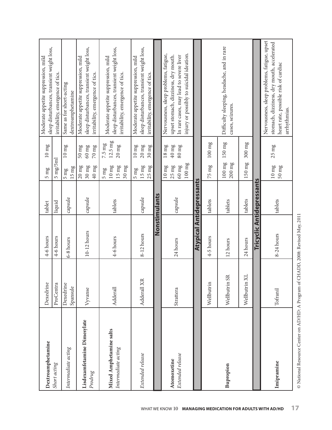| Dextroamphetamine                              | Dexedrine               | 4-6 hours     | tablet                           | $10 \ \mathrm{mg}$<br>$5 \text{ mg}$                                                                                                    | sleep disturbances, transient weight loss,<br>Moderate appetite suppression, mild                                                                                    |
|------------------------------------------------|-------------------------|---------------|----------------------------------|-----------------------------------------------------------------------------------------------------------------------------------------|----------------------------------------------------------------------------------------------------------------------------------------------------------------------|
| Short acting                                   | ProCentra               | 4-6 hours     | liquid                           | $5 \text{ mg/sml}$                                                                                                                      | irritability, emergence of tics.                                                                                                                                     |
| Intermediate acting                            | Dexedrine<br>Spansule   | 6-8 hours     | capsule                          | $10 \text{ mg}$<br>$15 \text{ mg}$<br>$5 \text{ mg}$                                                                                    | Same as for short-acting<br>dextroamphetamine                                                                                                                        |
| Lisdexamfetamine Dimesylate<br>Prodrug         | Vyvanse                 | $10-12$ hours | capsule                          | $50 \ \mathrm{mg}$<br>$60 \text{ mg}$<br>$70 \text{ mg}$<br>$20 \text{ mg}$<br>$30 \text{ mg}$<br>$40 \text{ mg}$                       | sleep disturbances, transient weight loss,<br>Moderate appetite suppression, mild<br>irritability, emergence of tics.                                                |
| Mixed Amphetamine salts<br>Intermediate acting | Adderall                | 4-6 hours     | tablets                          | $12.5 \text{ mg}$<br>$7.5 \text{ mg}$<br>$20~\mathrm{mg}$<br>$10 \ \mathrm{mg}$<br>$15 \text{ mg}$<br>$30 \text{ mg}$<br>$5 \text{ mg}$ | sleep disturbances, transient weight loss,<br>Moderate appetite suppression, mild<br>irritability, emergence of tics.                                                |
| Extended release                               | Adderall XR             | 8-12 hours    | capsule                          | $20~\mathrm{mg}$<br>$10\ \mathrm{mg}$<br>$30 \text{ mg}$<br>$15 \ \mathrm{mg}$<br>$25 \text{ mg}$<br>$5 \text{ mg}$                     | sleep disturbances, transient weight loss,<br>Moderate appetite suppression, mild<br>irritability, emergence of tics.                                                |
|                                                |                         |               | Nonstimulants                    |                                                                                                                                         |                                                                                                                                                                      |
| Extended release<br>Atomoxetine                | Strattera               | 24 hours      | capsule                          | $40 \:\rm mg$<br>$80~\mathrm{mg}$<br>$18 \mathrm{mg}$<br>$100 \text{ mg}$<br>$60 \text{ mg}$<br>$10 \ \mathrm{mg}$<br>$25 \text{ mg}$   | injury or possibly to suicidal ideation.<br>Nervousness, sleep problems, fatigue,<br>upset stomach, dizziness, dry mouth.<br>In rare cases, may lead to severe liver |
|                                                |                         |               | <b>Atypical Antidepressants</b>  |                                                                                                                                         |                                                                                                                                                                      |
|                                                | Wellbutrin              | 4-5 hours     | tablets                          | $100 \text{ mg}$<br>$75 \text{ mg}$                                                                                                     |                                                                                                                                                                      |
| Bupropion                                      | <b>SR</b><br>Wellbutrin | 12 hours      | tablets                          | $150 \text{ mg}$<br>$100~\mathrm{mg}$<br>$200~\mathrm{mg}$                                                                              | Difficulty sleeping, headache, and in rare<br>cases, seizures.                                                                                                       |
|                                                | XL<br>Wellbutrin        | 24 hours      | tablets                          | $300 \text{ mg}$<br>$150 \text{ mg}$                                                                                                    |                                                                                                                                                                      |
|                                                |                         |               | <b>Tricyclic Antidepressants</b> |                                                                                                                                         |                                                                                                                                                                      |
| Imipramine                                     | Tofranil                | 8-24 hours    | tablets                          | $25 \ \mathrm{mg}$<br>$10 \text{ mg}$<br>$50 \text{ mg}$                                                                                | Nervousness, sleep problems, fatigue, upset<br>stomach, dizziness, dry mouth, accelerated<br>heart rate, possible risk of cardiac<br>arrhythmias.                    |
|                                                |                         |               |                                  |                                                                                                                                         |                                                                                                                                                                      |